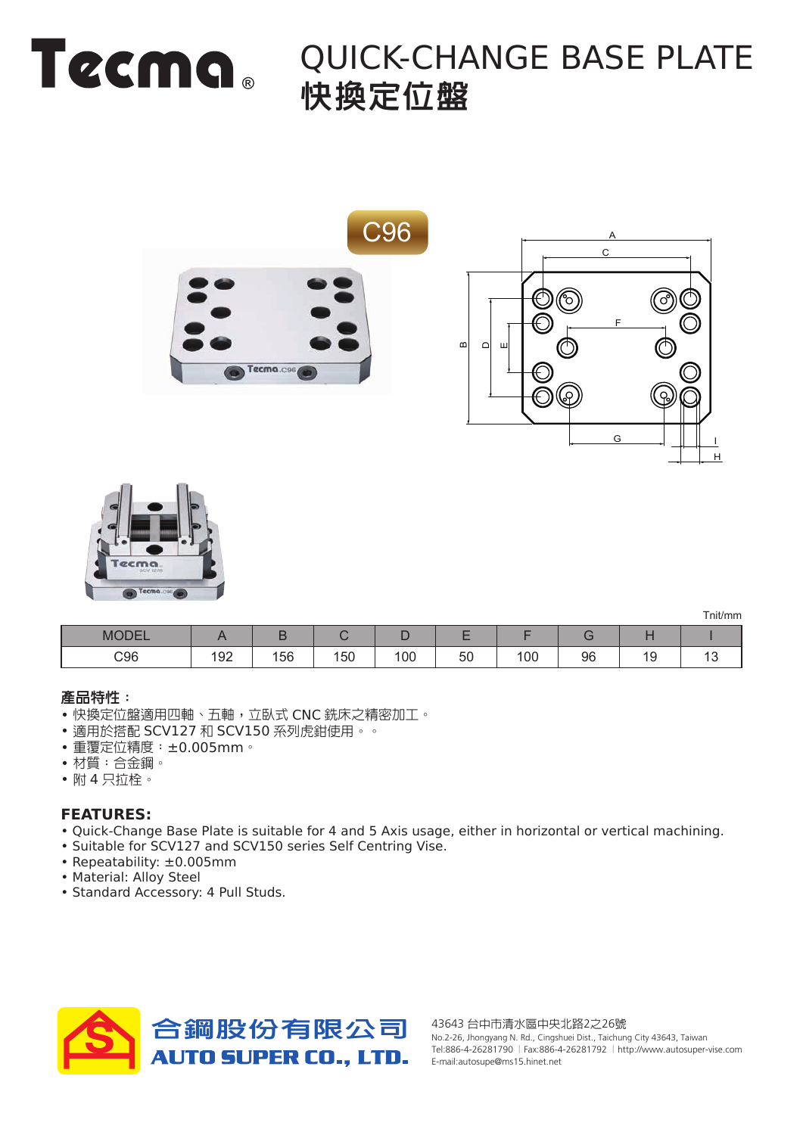

### QUICK-CHANGE BASE PLATE 快換定位盤





| M             |     |    |               |     |                                |    |    |   |  |
|---------------|-----|----|---------------|-----|--------------------------------|----|----|---|--|
| $\bigcirc 96$ | 192 | 56 | $1 - 0$<br>50 | 100 | $\overline{\phantom{a}}$<br>ວບ | 00 | 96 | - |  |

#### 產品特性 :

- 快換定位盤適用四軸、五軸,立臥式 CNC 銑床之精密加工。
- 適用於搭配 SCV127 和 SCV150 系列虎鉗使用。。
- 重覆定位精度:±0.005mm。
- 材質:合金鋼。
- 附 4 只拉栓。

### **FEATURES:**

- Quick-Change Base Plate is suitable for 4 and 5 Axis usage, either in horizontal or vertical machining.
- Suitable for SCV127 and SCV150 series Self Centring Vise.
- Repeatability: ±0.005mm
- Material: Alloy Steel
- Standard Accessory: 4 Pull Studs.



No.2-26, Jhongyang N. Rd., Cingshuei Dist., Taichung City 43643, Taiwan Tel:886-4-26281790 |Fax:886-4-26281792 |http://www.autosuper-vise.com E-mail:autosupe@ms15.hinet.net

Tnit/mm